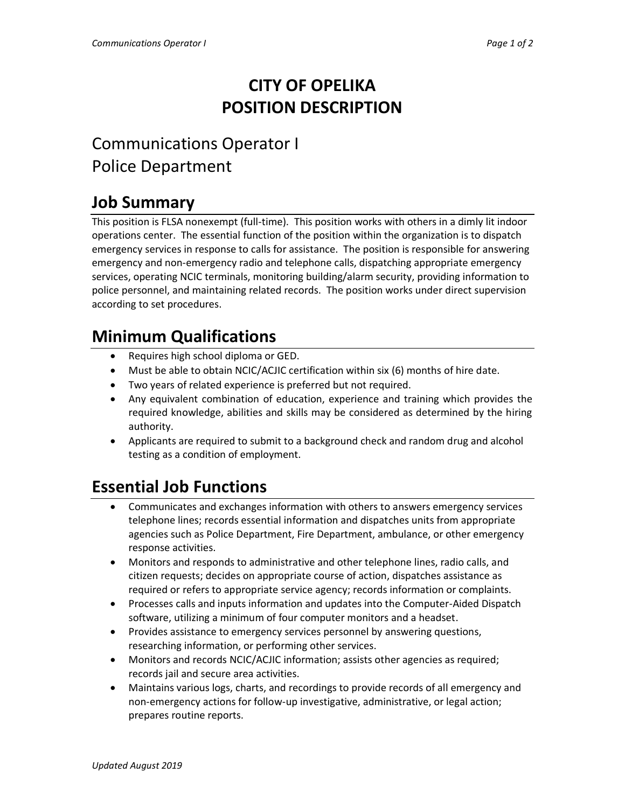### **CITY OF OPELIKA POSITION DESCRIPTION**

# Communications Operator I Police Department

# **Job Summary**

This position is FLSA nonexempt (full-time). This position works with others in a dimly lit indoor operations center. The essential function of the position within the organization is to dispatch emergency services in response to calls for assistance. The position is responsible for answering emergency and non-emergency radio and telephone calls, dispatching appropriate emergency services, operating NCIC terminals, monitoring building/alarm security, providing information to police personnel, and maintaining related records. The position works under direct supervision according to set procedures.

# **Minimum Qualifications**

- Requires high school diploma or GED.
- Must be able to obtain NCIC/ACJIC certification within six (6) months of hire date.
- Two years of related experience is preferred but not required.
- Any equivalent combination of education, experience and training which provides the required knowledge, abilities and skills may be considered as determined by the hiring authority.
- Applicants are required to submit to a background check and random drug and alcohol testing as a condition of employment.

#### **Essential Job Functions**

- Communicates and exchanges information with others to answers emergency services telephone lines; records essential information and dispatches units from appropriate agencies such as Police Department, Fire Department, ambulance, or other emergency response activities.
- Monitors and responds to administrative and other telephone lines, radio calls, and citizen requests; decides on appropriate course of action, dispatches assistance as required or refers to appropriate service agency; records information or complaints.
- Processes calls and inputs information and updates into the Computer-Aided Dispatch software, utilizing a minimum of four computer monitors and a headset.
- Provides assistance to emergency services personnel by answering questions, researching information, or performing other services.
- Monitors and records NCIC/ACJIC information; assists other agencies as required; records jail and secure area activities.
- Maintains various logs, charts, and recordings to provide records of all emergency and non-emergency actions for follow-up investigative, administrative, or legal action; prepares routine reports.